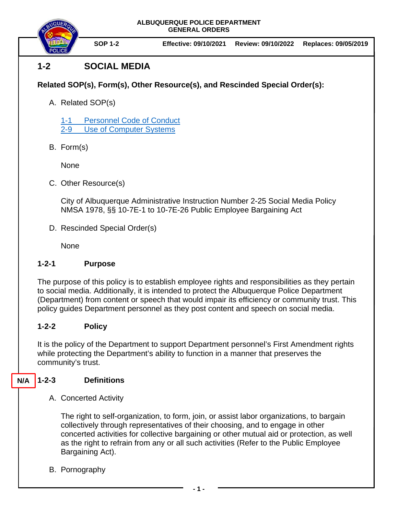

**SOP 1-2 Effective: 09/10/2021 Review: 09/10/2022 Replaces: 09/05/2019**

# **1-2 SOCIAL MEDIA**

# **Related SOP(s), Form(s), Other Resource(s), and Rescinded Special Order(s):**

A. Related SOP(s)

1-1 [Personnel Code of Conduct](https://powerdms.com/docs/1700599) 2-9 [Use of Computer Systems](https://powerdms.com/docs/61)

B. Form(s)

None

C. Other Resource(s)

City of Albuquerque Administrative Instruction Number 2-25 Social Media Policy NMSA 1978, §§ 10-7E-1 to 10-7E-26 Public Employee Bargaining Act

D. Rescinded Special Order(s)

None

## **1-2-1 Purpose**

The purpose of this policy is to establish employee rights and responsibilities as they pertain to social media. Additionally, it is intended to protect the Albuquerque Police Department (Department) from content or speech that would impair its efficiency or community trust. This policy guides Department personnel as they post content and speech on social media.

## **1-2-2 Policy**

It is the policy of the Department to support Department personnel's First Amendment rights while protecting the Department's ability to function in a manner that preserves the community's trust.

#### **1-2-3 Definitions N/A**

A. Concerted Activity

The right to self-organization, to form, join, or assist labor organizations, to bargain collectively through representatives of their choosing, and to engage in other concerted activities for collective bargaining or other mutual aid or protection, as well as the right to refrain from any or all such activities (Refer to the Public Employee Bargaining Act).

B. Pornography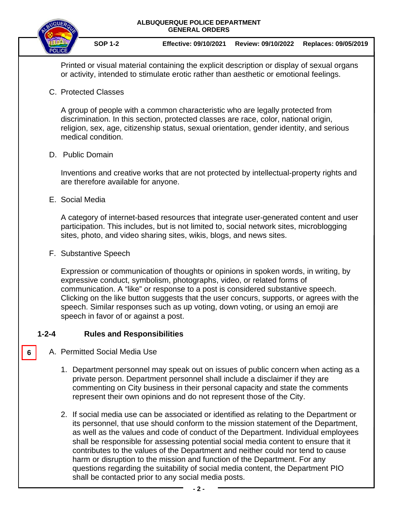

**SOP 1-2 Effective: 09/10/2021 Review: 09/10/2022 Replaces: 09/05/2019**

Printed or visual material containing the explicit description or display of sexual organs or activity, intended to stimulate erotic rather than aesthetic or emotional feelings.

C. Protected Classes

A group of people with a common characteristic who are legally protected from discrimination. In this section, protected classes are race, color, national origin, religion, sex, age, citizenship status, sexual orientation, gender identity, and serious medical condition.

#### D. Public Domain

Inventions and creative works that are not protected by intellectual-property rights and are therefore available for anyone.

E. Social Media

A category of internet-based resources that integrate user-generated content and user participation. This includes, but is not limited to, social network sites, microblogging sites, photo, and video sharing sites, wikis, blogs, and news sites.

F. Substantive Speech

Expression or communication of thoughts or opinions in spoken words, in writing, by expressive conduct, symbolism, photographs, video, or related forms of communication. A "like" or response to a post is considered substantive speech. Clicking on the like button suggests that the user concurs, supports, or agrees with the speech. Similar responses such as up voting, down voting, or using an emoji are speech in favor of or against a post.

## **1-2-4 Rules and Responsibilities**

## A. Permitted Social Media Use

**6**

- 1. Department personnel may speak out on issues of public concern when acting as a private person. Department personnel shall include a disclaimer if they are commenting on City business in their personal capacity and state the comments represent their own opinions and do not represent those of the City.
- 2. If social media use can be associated or identified as relating to the Department or its personnel, that use should conform to the mission statement of the Department, as well as the values and code of conduct of the Department. Individual employees shall be responsible for assessing potential social media content to ensure that it contributes to the values of the Department and neither could nor tend to cause harm or disruption to the mission and function of the Department. For any questions regarding the suitability of social media content, the Department PIO shall be contacted prior to any social media posts.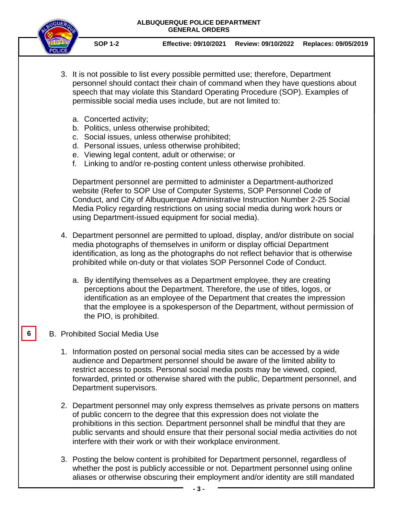

**SOP 1-2 Effective: 09/10/2021 Review: 09/10/2022 Replaces: 09/05/2019**

- 3. It is not possible to list every possible permitted use; therefore, Department personnel should contact their chain of command when they have questions about speech that may violate this Standard Operating Procedure (SOP). Examples of permissible social media uses include, but are not limited to:
	- a. Concerted activity;
	- b. Politics, unless otherwise prohibited;
	- c. Social issues, unless otherwise prohibited;
	- d. Personal issues, unless otherwise prohibited;
	- e. Viewing legal content, adult or otherwise; or
	- f. Linking to and/or re-posting content unless otherwise prohibited.

Department personnel are permitted to administer a Department-authorized website (Refer to SOP Use of Computer Systems, SOP Personnel Code of Conduct, and City of Albuquerque Administrative Instruction Number 2-25 Social Media Policy regarding restrictions on using social media during work hours or using Department-issued equipment for social media).

- 4. Department personnel are permitted to upload, display, and/or distribute on social media photographs of themselves in uniform or display official Department identification, as long as the photographs do not reflect behavior that is otherwise prohibited while on-duty or that violates SOP Personnel Code of Conduct.
	- a. By identifying themselves as a Department employee, they are creating perceptions about the Department. Therefore, the use of titles, logos, or identification as an employee of the Department that creates the impression that the employee is a spokesperson of the Department, without permission of the PIO, is prohibited.

#### B. Prohibited Social Media Use

**6**

- 1. Information posted on personal social media sites can be accessed by a wide audience and Department personnel should be aware of the limited ability to restrict access to posts. Personal social media posts may be viewed, copied, forwarded, printed or otherwise shared with the public, Department personnel, and Department supervisors.
- 2. Department personnel may only express themselves as private persons on matters of public concern to the degree that this expression does not violate the prohibitions in this section. Department personnel shall be mindful that they are public servants and should ensure that their personal social media activities do not interfere with their work or with their workplace environment.
- 3. Posting the below content is prohibited for Department personnel, regardless of whether the post is publicly accessible or not. Department personnel using online aliases or otherwise obscuring their employment and/or identity are still mandated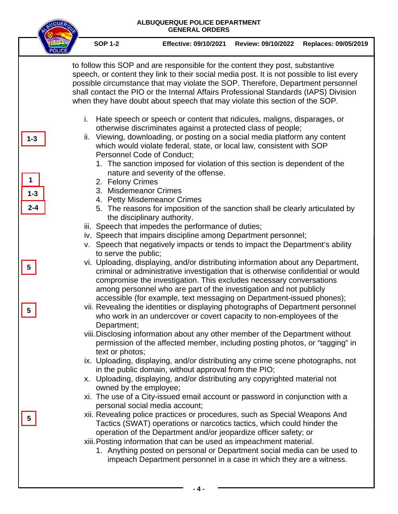